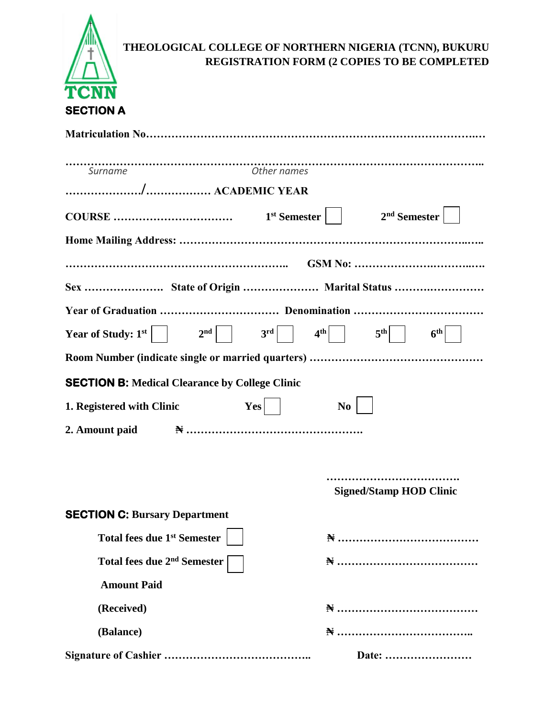

## **THEOLOGICAL COLLEGE OF NORTHERN NIGERIA (TCNN), BUKURU REGISTRATION FORM (2 COPIES TO BE COMPLETED**

| Surname                                                     |                                |
|-------------------------------------------------------------|--------------------------------|
|                                                             |                                |
|                                                             |                                |
|                                                             |                                |
|                                                             |                                |
|                                                             |                                |
| Sex  State of Origin  Marital Status                        |                                |
|                                                             |                                |
| Year of Study: $1^{st}$ $2^{nd}$ $3^{rd}$ $4^{th}$ $5^{th}$ | $6^{\text{th}}$                |
|                                                             |                                |
| <b>SECTION B: Medical Clearance by College Clinic</b>       |                                |
| $Yes$    <br>1. Registered with Clinic                      | N <sub>0</sub>                 |
|                                                             |                                |
|                                                             |                                |
|                                                             |                                |
|                                                             | <b>Signed/Stamp HOD Clinic</b> |
| <b>SECTION C: Bursary Department</b>                        |                                |
| <b>Total fees due 1st Semester</b>                          |                                |
| Total fees due 2 <sup>nd</sup> Semester                     |                                |
| <b>Amount Paid</b>                                          |                                |
| (Received)                                                  |                                |
| (Balance)                                                   |                                |
|                                                             | Date:                          |